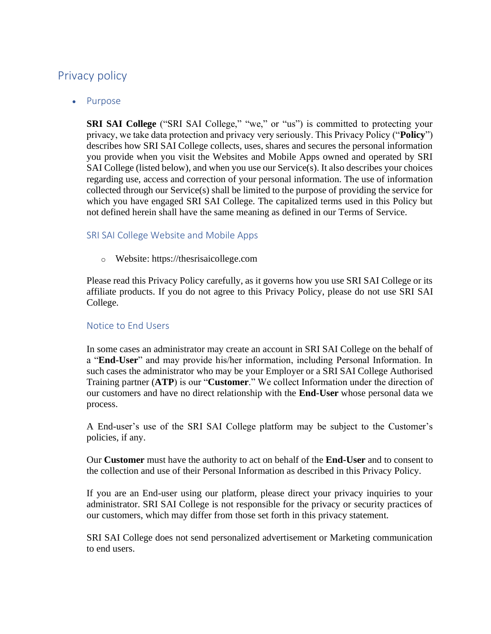# Privacy policy

• Purpose

**SRI SAI College** ("SRI SAI College," "we," or "us") is committed to protecting your privacy, we take data protection and privacy very seriously. This Privacy Policy ("**Policy**") describes how SRI SAI College collects, uses, shares and secures the personal information you provide when you visit the Websites and Mobile Apps owned and operated by SRI SAI College (listed below), and when you use our Service(s). It also describes your choices regarding use, access and correction of your personal information. The use of information collected through our Service(s) shall be limited to the purpose of providing the service for which you have engaged SRI SAI College. The capitalized terms used in this Policy but not defined herein shall have the same meaning as defined in our Terms of Service.

# SRI SAI College Website and Mobile Apps

o Website: https://thesrisaicollege.com

Please read this Privacy Policy carefully, as it governs how you use SRI SAI College or its affiliate products. If you do not agree to this Privacy Policy, please do not use SRI SAI College.

# Notice to End Users

In some cases an administrator may create an account in SRI SAI College on the behalf of a "**End-User**" and may provide his/her information, including Personal Information. In such cases the administrator who may be your Employer or a SRI SAI College Authorised Training partner (**ATP**) is our "**Customer**." We collect Information under the direction of our customers and have no direct relationship with the **End-User** whose personal data we process.

A End-user's use of the SRI SAI College platform may be subject to the Customer's policies, if any.

Our **Customer** must have the authority to act on behalf of the **End-User** and to consent to the collection and use of their Personal Information as described in this Privacy Policy.

If you are an End-user using our platform, please direct your privacy inquiries to your administrator. SRI SAI College is not responsible for the privacy or security practices of our customers, which may differ from those set forth in this privacy statement.

SRI SAI College does not send personalized advertisement or Marketing communication to end users.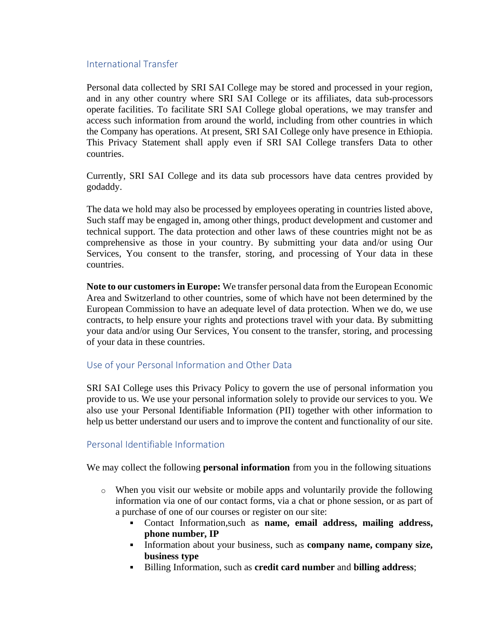### International Transfer

Personal data collected by SRI SAI College may be stored and processed in your region, and in any other country where SRI SAI College or its affiliates, data sub-processors operate facilities. To facilitate SRI SAI College global operations, we may transfer and access such information from around the world, including from other countries in which the Company has operations. At present, SRI SAI College only have presence in Ethiopia. This Privacy Statement shall apply even if SRI SAI College transfers Data to other countries.

Currently, SRI SAI College and its data sub processors have data centres provided by godaddy.

The data we hold may also be processed by employees operating in countries listed above, Such staff may be engaged in, among other things, product development and customer and technical support. The data protection and other laws of these countries might not be as comprehensive as those in your country. By submitting your data and/or using Our Services, You consent to the transfer, storing, and processing of Your data in these countries.

**Note to our customers in Europe:** We transfer personal data from the European Economic Area and Switzerland to other countries, some of which have not been determined by the European Commission to have an adequate level of data protection. When we do, we use contracts, to help ensure your rights and protections travel with your data. By submitting your data and/or using Our Services, You consent to the transfer, storing, and processing of your data in these countries.

# Use of your Personal Information and Other Data

SRI SAI College uses this Privacy Policy to govern the use of personal information you provide to us. We use your personal information solely to provide our services to you. We also use your Personal Identifiable Information (PII) together with other information to help us better understand our users and to improve the content and functionality of our site.

### Personal Identifiable Information

We may collect the following **personal information** from you in the following situations

- o When you visit our website or mobile apps and voluntarily provide the following information via one of our contact forms, via a chat or phone session, or as part of a purchase of one of our courses or register on our site:
	- Contact Information,such as **name, email address, mailing address, phone number, IP**
	- Information about your business, such as **company name, company size, business type**
	- Billing Information, such as **credit card number** and **billing address**;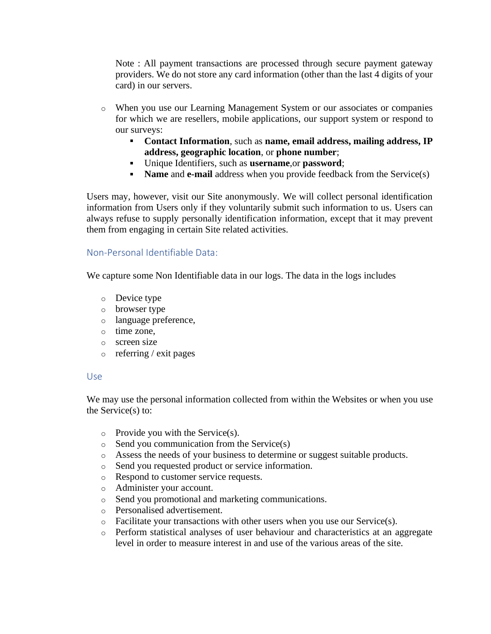Note : All payment transactions are processed through secure payment gateway providers. We do not store any card information (other than the last 4 digits of your card) in our servers.

- o When you use our Learning Management System or our associates or companies for which we are resellers, mobile applications, our support system or respond to our surveys:
	- **Contact Information**, such as **name, email address, mailing address, IP address, geographic location**, or **phone number**;
	- Unique Identifiers, such as **username**,or **password**;
	- **Name** and **e-mail** address when you provide feedback from the Service(s)  $\mathbf{r}$

Users may, however, visit our Site anonymously. We will collect personal identification information from Users only if they voluntarily submit such information to us. Users can always refuse to supply personally identification information, except that it may prevent them from engaging in certain Site related activities.

### Non-Personal Identifiable Data:

We capture some Non Identifiable data in our logs. The data in the logs includes

- o Device type
- o browser type
- o language preference,
- o time zone,
- o screen size
- o referring / exit pages

### Use

We may use the personal information collected from within the Websites or when you use the Service(s) to:

- $\circ$  Provide you with the Service(s).
- o Send you communication from the Service(s)
- o Assess the needs of your business to determine or suggest suitable products.
- o Send you requested product or service information.
- o Respond to customer service requests.
- o Administer your account.
- o Send you promotional and marketing communications.
- o Personalised advertisement.
- $\circ$  Facilitate your transactions with other users when you use our Service(s).
- o Perform statistical analyses of user behaviour and characteristics at an aggregate level in order to measure interest in and use of the various areas of the site.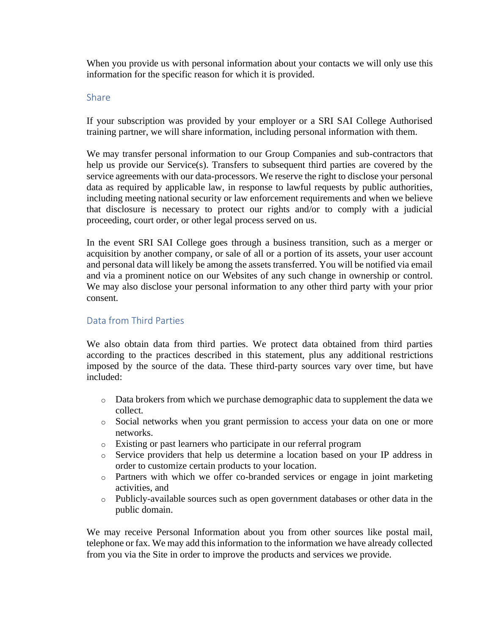When you provide us with personal information about your contacts we will only use this information for the specific reason for which it is provided.

### Share

If your subscription was provided by your employer or a SRI SAI College Authorised training partner, we will share information, including personal information with them.

We may transfer personal information to our Group Companies and sub-contractors that help us provide our Service(s). Transfers to subsequent third parties are covered by the service agreements with our data-processors. We reserve the right to disclose your personal data as required by applicable law, in response to lawful requests by public authorities, including meeting national security or law enforcement requirements and when we believe that disclosure is necessary to protect our rights and/or to comply with a judicial proceeding, court order, or other legal process served on us.

In the event SRI SAI College goes through a business transition, such as a merger or acquisition by another company, or sale of all or a portion of its assets, your user account and personal data will likely be among the assets transferred. You will be notified via email and via a prominent notice on our Websites of any such change in ownership or control. We may also disclose your personal information to any other third party with your prior consent.

# Data from Third Parties

We also obtain data from third parties. We protect data obtained from third parties according to the practices described in this statement, plus any additional restrictions imposed by the source of the data. These third-party sources vary over time, but have included:

- $\circ$  Data brokers from which we purchase demographic data to supplement the data we collect.
- o Social networks when you grant permission to access your data on one or more networks.
- o Existing or past learners who participate in our referral program
- o Service providers that help us determine a location based on your IP address in order to customize certain products to your location.
- o Partners with which we offer co-branded services or engage in joint marketing activities, and
- o Publicly-available sources such as open government databases or other data in the public domain.

We may receive Personal Information about you from other sources like postal mail, telephone or fax. We may add this information to the information we have already collected from you via the Site in order to improve the products and services we provide.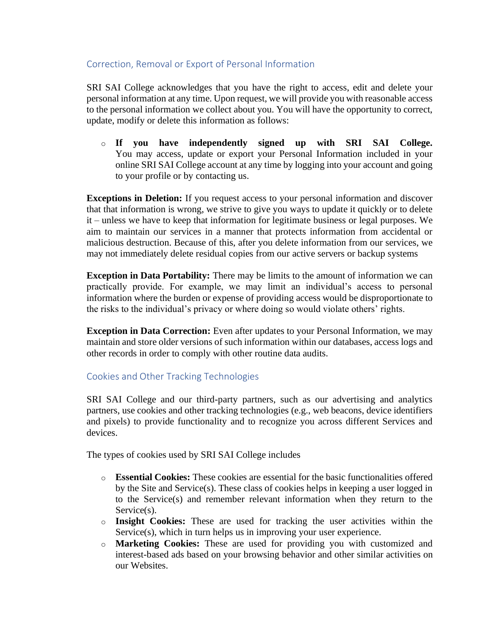# Correction, Removal or Export of Personal Information

SRI SAI College acknowledges that you have the right to access, edit and delete your personal information at any time. Upon request, we will provide you with reasonable access to the personal information we collect about you. You will have the opportunity to correct, update, modify or delete this information as follows:

o **If you have independently signed up with SRI SAI College.** You may access, update or export your Personal Information included in your online SRI SAI College account at any time by logging into your account and going to your profile or by contacting us.

**Exceptions in Deletion:** If you request access to your personal information and discover that that information is wrong, we strive to give you ways to update it quickly or to delete it – unless we have to keep that information for legitimate business or legal purposes. We aim to maintain our services in a manner that protects information from accidental or malicious destruction. Because of this, after you delete information from our services, we may not immediately delete residual copies from our active servers or backup systems

**Exception in Data Portability:** There may be limits to the amount of information we can practically provide. For example, we may limit an individual's access to personal information where the burden or expense of providing access would be disproportionate to the risks to the individual's privacy or where doing so would violate others' rights.

**Exception in Data Correction:** Even after updates to your Personal Information, we may maintain and store older versions of such information within our databases, access logs and other records in order to comply with other routine data audits.

# Cookies and Other Tracking Technologies

SRI SAI College and our third-party partners, such as our advertising and analytics partners, use cookies and other tracking technologies (e.g., web beacons, device identifiers and pixels) to provide functionality and to recognize you across different Services and devices.

The types of cookies used by SRI SAI College includes

- o **Essential Cookies:** These cookies are essential for the basic functionalities offered by the Site and Service(s). These class of cookies helps in keeping a user logged in to the Service(s) and remember relevant information when they return to the Service(s).
- o **Insight Cookies:** These are used for tracking the user activities within the Service(s), which in turn helps us in improving your user experience.
- o **Marketing Cookies:** These are used for providing you with customized and interest-based ads based on your browsing behavior and other similar activities on our Websites.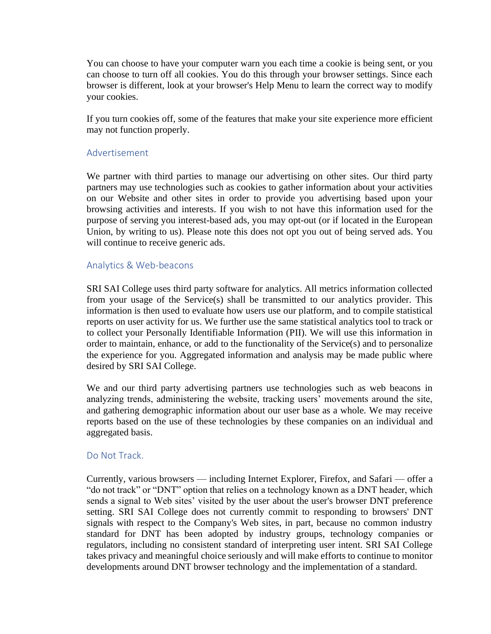You can choose to have your computer warn you each time a cookie is being sent, or you can choose to turn off all cookies. You do this through your browser settings. Since each browser is different, look at your browser's Help Menu to learn the correct way to modify your cookies.

If you turn cookies off, some of the features that make your site experience more efficient may not function properly.

### Advertisement

We partner with third parties to manage our advertising on other sites. Our third party partners may use technologies such as cookies to gather information about your activities on our Website and other sites in order to provide you advertising based upon your browsing activities and interests. If you wish to not have this information used for the purpose of serving you interest-based ads, you may opt-out (or if located in the European Union, by writing to us). Please note this does not opt you out of being served ads. You will continue to receive generic ads.

#### Analytics & Web-beacons

SRI SAI College uses third party software for analytics. All metrics information collected from your usage of the Service(s) shall be transmitted to our analytics provider. This information is then used to evaluate how users use our platform, and to compile statistical reports on user activity for us. We further use the same statistical analytics tool to track or to collect your Personally Identifiable Information (PII). We will use this information in order to maintain, enhance, or add to the functionality of the Service(s) and to personalize the experience for you. Aggregated information and analysis may be made public where desired by SRI SAI College.

We and our third party advertising partners use technologies such as web beacons in analyzing trends, administering the website, tracking users' movements around the site, and gathering demographic information about our user base as a whole. We may receive reports based on the use of these technologies by these companies on an individual and aggregated basis.

### Do Not Track.

Currently, various browsers — including Internet Explorer, Firefox, and Safari — offer a "do not track" or "DNT" option that relies on a technology known as a DNT header, which sends a signal to Web sites' visited by the user about the user's browser DNT preference setting. SRI SAI College does not currently commit to responding to browsers' DNT signals with respect to the Company's Web sites, in part, because no common industry standard for DNT has been adopted by industry groups, technology companies or regulators, including no consistent standard of interpreting user intent. SRI SAI College takes privacy and meaningful choice seriously and will make efforts to continue to monitor developments around DNT browser technology and the implementation of a standard.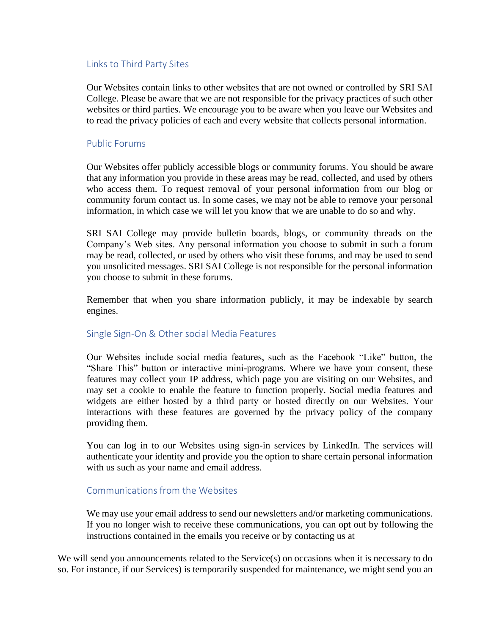### Links to Third Party Sites

Our Websites contain links to other websites that are not owned or controlled by SRI SAI College. Please be aware that we are not responsible for the privacy practices of such other websites or third parties. We encourage you to be aware when you leave our Websites and to read the privacy policies of each and every website that collects personal information.

### Public Forums

Our Websites offer publicly accessible blogs or community forums. You should be aware that any information you provide in these areas may be read, collected, and used by others who access them. To request removal of your personal information from our blog or community forum contact us. In some cases, we may not be able to remove your personal information, in which case we will let you know that we are unable to do so and why.

SRI SAI College may provide bulletin boards, blogs, or community threads on the Company's Web sites. Any personal information you choose to submit in such a forum may be read, collected, or used by others who visit these forums, and may be used to send you unsolicited messages. SRI SAI College is not responsible for the personal information you choose to submit in these forums.

Remember that when you share information publicly, it may be indexable by search engines.

### Single Sign-On & Other social Media Features

Our Websites include social media features, such as the Facebook "Like" button, the "Share This" button or interactive mini-programs. Where we have your consent, these features may collect your IP address, which page you are visiting on our Websites, and may set a cookie to enable the feature to function properly. Social media features and widgets are either hosted by a third party or hosted directly on our Websites. Your interactions with these features are governed by the privacy policy of the company providing them.

You can log in to our Websites using sign-in services by LinkedIn. The services will authenticate your identity and provide you the option to share certain personal information with us such as your name and email address.

### Communications from the Websites

We may use your email address to send our newsletters and/or marketing communications. If you no longer wish to receive these communications, you can opt out by following the instructions contained in the emails you receive or by contacting us at

We will send you announcements related to the Service(s) on occasions when it is necessary to do so. For instance, if our Services) is temporarily suspended for maintenance, we might send you an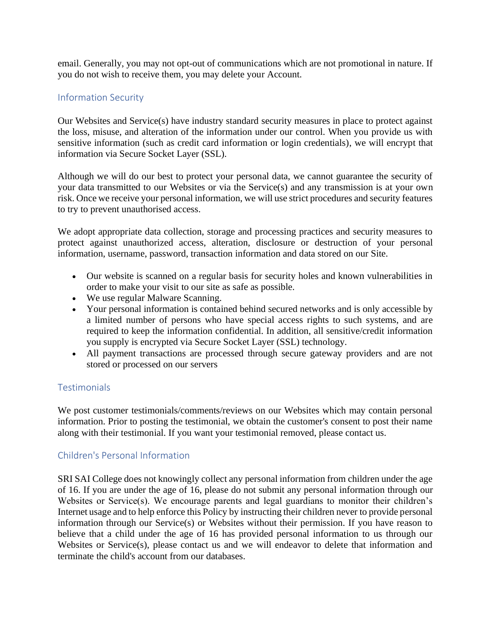email. Generally, you may not opt-out of communications which are not promotional in nature. If you do not wish to receive them, you may delete your Account.

# Information Security

Our Websites and Service(s) have industry standard security measures in place to protect against the loss, misuse, and alteration of the information under our control. When you provide us with sensitive information (such as credit card information or login credentials), we will encrypt that information via Secure Socket Layer (SSL).

Although we will do our best to protect your personal data, we cannot guarantee the security of your data transmitted to our Websites or via the Service(s) and any transmission is at your own risk. Once we receive your personal information, we will use strict procedures and security features to try to prevent unauthorised access.

We adopt appropriate data collection, storage and processing practices and security measures to protect against unauthorized access, alteration, disclosure or destruction of your personal information, username, password, transaction information and data stored on our Site.

- Our website is scanned on a regular basis for security holes and known vulnerabilities in order to make your visit to our site as safe as possible.
- We use regular Malware Scanning.
- Your personal information is contained behind secured networks and is only accessible by a limited number of persons who have special access rights to such systems, and are required to keep the information confidential. In addition, all sensitive/credit information you supply is encrypted via Secure Socket Layer (SSL) technology.
- All payment transactions are processed through secure gateway providers and are not stored or processed on our servers

# **Testimonials**

We post customer testimonials/comments/reviews on our Websites which may contain personal information. Prior to posting the testimonial, we obtain the customer's consent to post their name along with their testimonial. If you want your testimonial removed, please contact us.

# Children's Personal Information

SRI SAI College does not knowingly collect any personal information from children under the age of 16. If you are under the age of 16, please do not submit any personal information through our Websites or Service(s). We encourage parents and legal guardians to monitor their children's Internet usage and to help enforce this Policy by instructing their children never to provide personal information through our Service(s) or Websites without their permission. If you have reason to believe that a child under the age of 16 has provided personal information to us through our Websites or Service(s), please contact us and we will endeavor to delete that information and terminate the child's account from our databases.